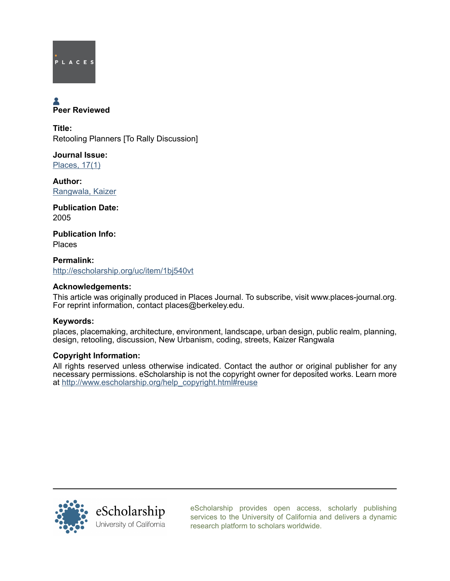

# **A**<br>Peer Reviewed

Title: Retooling Planners [To Rally Discussion]

Journal Issue: [Places, 17\(1\)](http://escholarship.org/uc/ced_places?volume=17;issue=1)

Author: [Rangwala, Kaizer](http://escholarship.org/uc/search?creator=Rangwala%2C%20Kaizer)

Publication Date: 2005

Publication Info: Places

Permalink: <http://escholarship.org/uc/item/1bj540vt>

## Acknowledgements:

This article was originally produced in Places Journal. To subscribe, visit www.places-journal.org. For reprint information, contact places@berkeley.edu.

# Keywords:

places, placemaking, architecture, environment, landscape, urban design, public realm, planning, design, retooling, discussion, New Urbanism, coding, streets, Kaizer Rangwala

## Copyright Information:

All rights reserved unless otherwise indicated. Contact the author or original publisher for any necessary permissions. eScholarship is not the copyright owner for deposited works. Learn more at [http://www.escholarship.org/help\\_copyright.html#reuse](http://www.escholarship.org/help_copyright.html#reuse)



[eScholarship provides open access, scholarly publishing](http://escholarship.org) [services to the University of California and delivers a dynamic](http://escholarship.org) [research platform to scholars worldwide.](http://escholarship.org)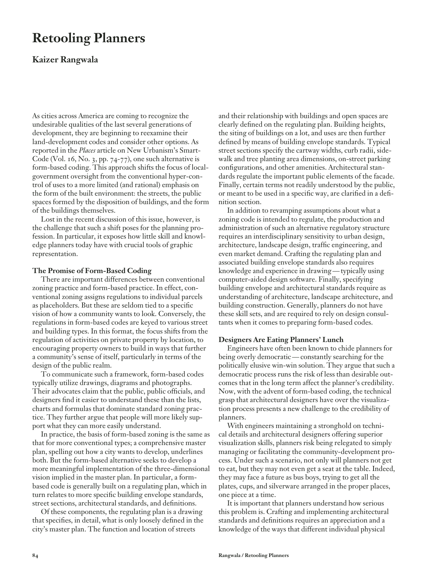# **Retooling Planners**

# **Kaizer Rangwala**

As cities across America are coming to recognize the undesirable qualities of the last several generations of development, they are beginning to reexamine their land-development codes and consider other options. As reported in the *Places* article on New Urbanism's Smart-Code (Vol. 16, No. 3, pp. 74-77), one such alternative is form-based coding. This approach shifts the focus of localgovernment oversight from the conventional hyper-control of uses to a more limited (and rational) emphasis on the form of the built environment: the streets, the public spaces formed by the disposition of buildings, and the form of the buildings themselves.

Lost in the recent discussion of this issue, however, is the challenge that such a shift poses for the planning profession. In particular, it exposes how little skill and knowledge planners today have with crucial tools of graphic representation.

### **The Promise of Form-Based Coding**

There are important differences between conventional zoning practice and form-based practice. In effect, conventional zoning assigns regulations to individual parcels as placeholders. But these are seldom tied to a specific vision of how a community wants to look. Conversely, the regulations in form-based codes are keyed to various street and building types. In this format, the focus shifts from the regulation of activities on private property by location, to encouraging property owners to build in ways that further a community's sense of itself, particularly in terms of the design of the public realm.

To communicate such a framework, form-based codes typically utilize drawings, diagrams and photographs. Their advocates claim that the public, public officials, and designers find it easier to understand these than the lists, charts and formulas that dominate standard zoning practice. They further argue that people will more likely support what they can more easily understand.

In practice, the basis of form-based zoning is the same as that for more conventional types; a comprehensive master plan, spelling out how a city wants to develop, underlines both. But the form-based alternative seeks to develop a more meaningful implementation of the three-dimensional vision implied in the master plan. In particular, a formbased code is generally built on a regulating plan, which in turn relates to more specific building envelope standards, street sections, architectural standards, and definitions.

Of these components, the regulating plan is a drawing that specifies, in detail, what is only loosely defined in the city's master plan. The function and location of streets

and their relationship with buildings and open spaces are clearly defined on the regulating plan. Building heights, the siting of buildings on a lot, and uses are then further defined by means of building envelope standards. Typical street sections specify the cartway widths, curb radii, sidewalk and tree planting area dimensions, on-street parking configurations, and other amenities. Architectural standards regulate the important public elements of the facade. Finally, certain terms not readily understood by the public, or meant to be used in a specific way, are clarified in a definition section.

In addition to revamping assumptions about what a zoning code is intended to regulate, the production and administration of such an alternative regulatory structure requires an interdisciplinary sensitivity to urban design, architecture, landscape design, traffic engineering, and even market demand. Crafting the regulating plan and associated building envelope standards also requires knowledge and experience in drawing — typically using computer-aided design software. Finally, specifying building envelope and architectural standards require as understanding of architecture, landscape architecture, and building construction. Generally, planners do not have these skill sets, and are required to rely on design consultants when it comes to preparing form-based codes.

### **Designers Are Eating Planners' Lunch**

Engineers have often been known to chide planners for being overly democratic — constantly searching for the politically elusive win-win solution. They argue that such a democratic process runs the risk of less than desirable outcomes that in the long term affect the planner's credibility. Now, with the advent of form-based coding, the technical grasp that architectural designers have over the visualization process presents a new challenge to the credibility of planners.

With engineers maintaining a stronghold on technical details and architectural designers offering superior visualization skills, planners risk being relegated to simply managing or facilitating the community-development process. Under such a scenario, not only will planners not get to eat, but they may not even get a seat at the table. Indeed, they may face a future as bus boys, trying to get all the plates, cups, and silverware arranged in the proper places, one piece at a time.

It is important that planners understand how serious this problem is. Crafting and implementing architectural standards and definitions requires an appreciation and a knowledge of the ways that different individual physical